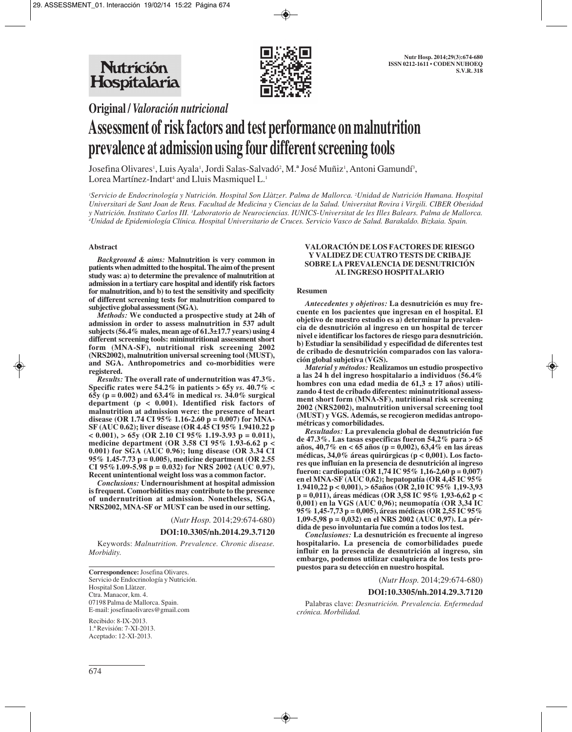

**Original /** *Valoración nutricional*

# **Assessment of risk factors and test performance on malnutrition prevalence at admission using four different screening tools**

Josefina Olivares<sup>1</sup>, Luis Ayala<sup>1</sup>, Jordi Salas-Salvadó<sup>2</sup>, M.ª José Muñiz<sup>1</sup>, Antoni Gamundí<sup>3</sup>, Lorea Martínez-Indart<sup>4</sup> and Lluis Masmiquel L.<sup>1</sup>

*1 Servicio de Endocrinología y Nutrición. Hospital Son Llàtzer. Palma de Mallorca. 2 Unidad de Nutrición Humana. Hospital Universitari de Sant Joan de Reus. Facultad de Medicina y Ciencias de la Salud. Universitat Rovira i Virgili. CIBER Obesidad y Nutrición. Instituto Carlos III. 3 Laboratorio de Neurociencias. IUNICS-Universitat de les Illes Balears. Palma de Mallorca. 4 Unidad de Epidemiología Clínica. Hospital Universitario de Cruces. Servicio Vasco de Salud. Barakaldo. Bizkaia. Spain.*

### **Abstract**

*Background & aims:* **Malnutrition is very common in patients when admitted to the hospital. The aim of the present study was: a) to determine the prevalence of malnutrition at admission in a tertiary care hospital and identify risk factors for malnutrition, and b) to test the sensitivity and specificity of different screening tests for malnutrition compared to subjective global assessment (SGA).**

*Methods:* **We conducted a prospective study at 24h of admission in order to assess malnutrition in 537 adult subjects (56.4% males, mean age of 61.3±17.7 years) using 4 different screening tools: mininutritional assessment short form (MNA-SF), nutritional risk screening 2002 (NRS2002), malnutrition universal screening tool (MUST), and SGA. Anthropometrics and co-morbidities were registered.**

*Results:* **The overall rate of undernutrition was 47.3%. Specific rates were 54.2% in patients > 65y** *vs.* **40.7% < 65y (p = 0.002) and 63.4% in medical** *vs.* **34.0% surgical department (p < 0.001). Identified risk factors of malnutrition at admission were: the presence of heart disease (OR 1.74 CI 95% 1.16-2.60 p = 0.007) for MNA-SF (AUC 0.62); liver disease (OR 4.45 CI 95% 1.9410.22 p**  $< 0.001$ ),  $> 65y$  (OR 2.10 CI 95% 1.19-3.93 p = 0.011), **medicine department (OR 3.58 CI 95% 1.93-6.62 p < 0.001) for SGA (AUC 0.96); lung disease (OR 3.34 CI 95% 1.45-7.73 p = 0.005), medicine department (OR 2.55 CI 95%1.09-5.98 p = 0.032) for NRS 2002 (AUC 0.97). Recent unintentional weight loss was a common factor.**

*Conclusions:* **Undernourishment at hospital admission is frequent. Comorbidities may contribute to the presence of undernutrition at admission. Nonetheless, SGA, NRS2002, MNA-SF or MUST can be used in our setting.**

(*Nutr Hosp.* 2014;29:674-680)

#### **DOI:10.3305/nh.2014.29.3.7120**

Keywords: *Malnutrition. Prevalence. Chronic disease. Morbidity.*

**Correspondence:** Josefina Olivares. Servicio de Endocrinología y Nutrición. Hospital Son Llàtzer. Ctra. Manacor, km. 4. 07198 Palma de Mallorca. Spain. E-mail: josefinaolivares@gmail.com

Recibido: 8-IX-2013. 1.ª Revisión: 7-XI-2013. Aceptado: 12-XI-2013.

#### **VALORACIÓN DE LOS FACTORES DE RIESGO Y VALIDEZ DE CUATRO TESTS DE CRIBAJE SOBRE LA PREVALENCIA DE DESNUTRICIÓN AL INGRESO HOSPITALARIO**

#### **Resumen**

*Antecedentes y objetivos:* **La desnutrición es muy frecuente en los pacientes que ingresan en el hospital. El objetivo de nuestro estudio es a) determinar la prevalencia de desnutrición al ingreso en un hospital de tercer nivel e identificar los factores de riesgo para desnutrición. b) Estudiar la sensibilidad y especifidad de diferentes test de cribado de desnutrición comparados con las valoración global subjetiva (VGS).**

*Material y métodos:* **Realizamos un estudio prospectivo a las 24 h del ingreso hospitalario a individuos (56.4% hombres con una edad media de 61,3 ± 17 años) utilizando 4 test de cribado diferentes: mininutritional assessment short form (MNA-SF), nutritional risk screening 2002 (NRS2002), malnutrition universal screening tool (MUST) y VGS. Además, se recogieron medidas antropométricas y comorbilidades.**

*Resultados:* **La prevalencia global de desnutrición fue de 47.3%. Las tasas específicas fueron 54,2% para > 65 años, 40,7% en < 65 años (p = 0,002), 63,4% en las áreas médicas, 34,0% áreas quirúrgicas (p < 0,001). Los factores que influían en la presencia de desnutrición al ingreso fueron: cardiopatía (OR 1,74 IC 95% 1,16-2,60 p = 0,007) en el MNA-SF (AUC 0,62); hepatopatía (OR 4,45 IC 95% 1.9410,22 p < 0,001), > 65años (OR 2,10 IC 95% 1,19-3,93 p = 0,011), áreas médicas (OR 3,58 IC 95% 1,93-6,62 p < 0,001) en la VGS (AUC 0,96); neumopatía (OR 3,34 IC 95% 1,45-7,73 p = 0,005), áreas médicas (OR 2,55 IC 95% 1,09-5,98 p = 0,032) en el NRS 2002 (AUC 0,97). La pérdida de peso involuntaria fue común a todos los test.**

*Conclusiones:* **La desnutrición es frecuente al ingreso hospitalario. La presencia de comorbilidades puede influir en la presencia de desnutrición al ingreso, sin embargo, podemos utilizar cualquiera de los tests propuestos para su detección en nuestro hospital.**

(*Nutr Hosp.* 2014;29:674-680)

#### **DOI:10.3305/nh.2014.29.3.7120**

Palabras clave: *Desnutrición. Prevalencia. Enfermedad crónica. Morbilidad.*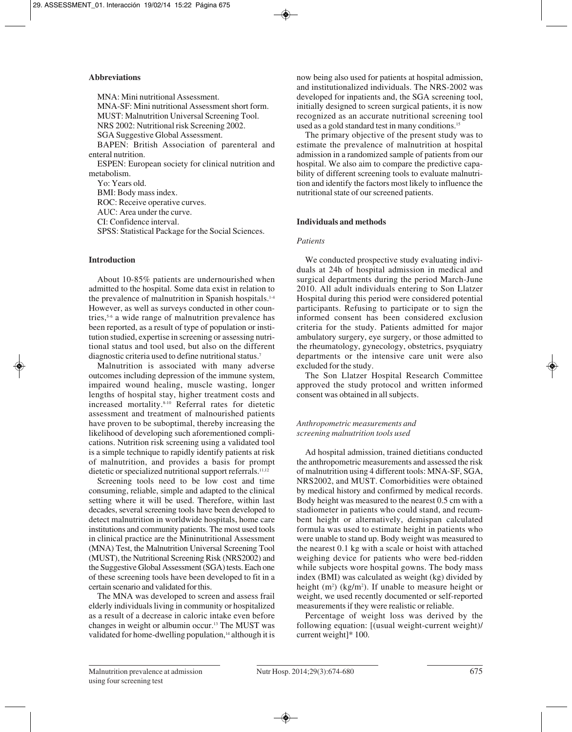## **Abbreviations**

MNA: Mini nutritional Assessment. MNA-SF: Mini nutritional Assessment short form. MUST: Malnutrition Universal Screening Tool. NRS 2002: Nutritional risk Screening 2002. SGA Suggestive Global Assessment. BAPEN: British Association of parenteral and enteral nutrition. ESPEN: European society for clinical nutrition and

metabolism. Yo: Years old.

BMI: Body mass index. ROC: Receive operative curves.

AUC: Area under the curve.

CI: Confidence interval.

SPSS: Statistical Package for the Social Sciences.

# **Introduction**

About 10-85% patients are undernourished when admitted to the hospital. Some data exist in relation to the prevalence of malnutrition in Spanish hospitals.<sup>1-4</sup> However, as well as surveys conducted in other countries,5-6 a wide range of malnutrition prevalence has been reported, as a result of type of population or institution studied, expertise in screening or assessing nutritional status and tool used, but also on the different diagnostic criteria used to define nutritional status.7

Malnutrition is associated with many adverse outcomes including depression of the immune system, impaired wound healing, muscle wasting, longer lengths of hospital stay, higher treatment costs and increased mortality.8-10 Referral rates for dietetic assessment and treatment of malnourished patients have proven to be suboptimal, thereby increasing the likelihood of developing such aforementioned complications. Nutrition risk screening using a validated tool is a simple technique to rapidly identify patients at risk of malnutrition, and provides a basis for prompt dietetic or specialized nutritional support referrals.<sup>11,12</sup>

Screening tools need to be low cost and time consuming, reliable, simple and adapted to the clinical setting where it will be used. Therefore, within last decades, several screening tools have been developed to detect malnutrition in worldwide hospitals, home care institutions and community patients. The most used tools in clinical practice are the Mininutritional Assessment (MNA) Test, the Malnutrition Universal Screening Tool (MUST), the Nutritional Screening Risk (NRS2002) and the Suggestive Global Assessment (SGA) tests. Each one of these screening tools have been developed to fit in a certain scenario and validated for this.

The MNA was developed to screen and assess frail elderly individuals living in community or hospitalized as a result of a decrease in caloric intake even before changes in weight or albumin occur.13 The MUST was validated for home-dwelling population,<sup>14</sup> although it is now being also used for patients at hospital admission, and institutionalized individuals. The NRS-2002 was developed for inpatients and, the SGA screening tool, initially designed to screen surgical patients, it is now recognized as an accurate nutritional screening tool used as a gold standard test in many conditions.15

The primary objective of the present study was to estimate the prevalence of malnutrition at hospital admission in a randomized sample of patients from our hospital. We also aim to compare the predictive capability of different screening tools to evaluate malnutrition and identify the factors most likely to influence the nutritional state of our screened patients.

# **Individuals and methods**

# *Patients*

We conducted prospective study evaluating individuals at 24h of hospital admission in medical and surgical departments during the period March-June 2010. All adult individuals entering to Son Llatzer Hospital during this period were considered potential participants. Refusing to participate or to sign the informed consent has been considered exclusion criteria for the study. Patients admitted for major ambulatory surgery, eye surgery, or those admitted to the rheumatology, gynecology, obstetrics, psyquiatry departments or the intensive care unit were also excluded for the study.

The Son Llatzer Hospital Research Committee approved the study protocol and written informed consent was obtained in all subjects.

# *Anthropometric measurements and screening malnutrition tools used*

Ad hospital admission, trained dietitians conducted the anthropometric measurements and assessed the risk of malnutrition using 4 different tools: MNA-SF, SGA, NRS2002, and MUST. Comorbidities were obtained by medical history and confirmed by medical records. Body height was measured to the nearest 0.5 cm with a stadiometer in patients who could stand, and recumbent height or alternatively, demispan calculated formula was used to estimate height in patients who were unable to stand up. Body weight was measured to the nearest 0.1 kg with a scale or hoist with attached weighing device for patients who were bed-ridden while subjects wore hospital gowns. The body mass index (BMI) was calculated as weight (kg) divided by height  $(m^2)$  (kg/m<sup>2</sup>). If unable to measure height or weight, we used recently documented or self-reported measurements if they were realistic or reliable.

Percentage of weight loss was derived by the following equation: [(usual weight-current weight)/ current weight]\* 100.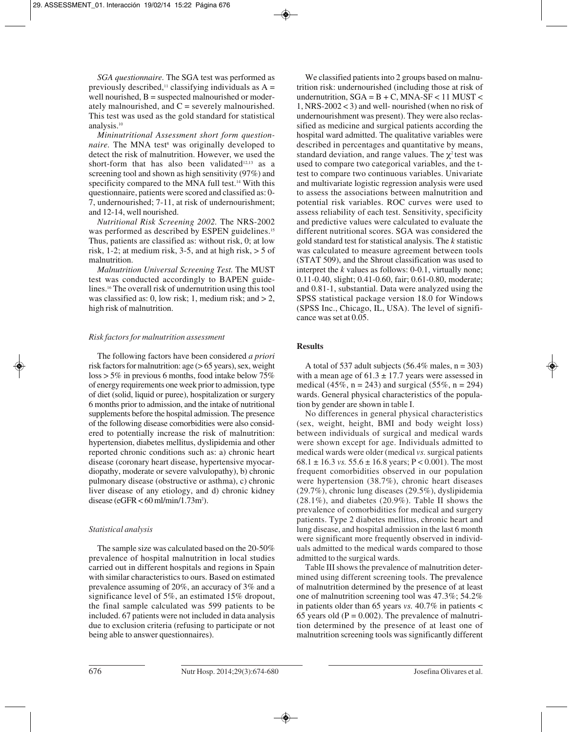*SGA questionnaire.* The SGA test was performed as previously described,<sup>11</sup> classifying individuals as  $A =$ well nourished,  $B =$  suspected malnourished or moderately malnourished, and  $C$  = severely malnourished. This test was used as the gold standard for statistical analysis.10

*Mininutritional Assessment short form questionnaire*. The MNA test<sup>8</sup> was originally developed to detect the risk of malnutrition. However, we used the short-form that has also been validated<sup>12,13</sup> as a screening tool and shown as high sensitivity (97%) and specificity compared to the MNA full test.<sup>14</sup> With this questionnaire, patients were scored and classified as: 0- 7, undernourished; 7-11, at risk of undernourishment; and 12-14, well nourished.

*Nutritional Risk Screening 2002.* The NRS-2002 was performed as described by ESPEN guidelines.<sup>15</sup> Thus, patients are classified as: without risk, 0; at low risk, 1-2; at medium risk, 3-5, and at high risk,  $> 5$  of malnutrition.

*Malnutrition Universal Screening Test.* The MUST test was conducted accordingly to BAPEN guidelines.16 The overall risk of undernutrition using this tool was classified as: 0, low risk; 1, medium risk; and  $> 2$ , high risk of malnutrition.

### *Risk factors for malnutrition assessment*

The following factors have been considered *a priori* risk factors for malnutrition: age  $(> 65$  years), sex, weight  $\log s$  > 5% in previous 6 months, food intake below 75% of energy requirements one week prior to admission, type of diet (solid, liquid or puree), hospitalization or surgery 6 months prior to admission, and the intake of nutritional supplements before the hospital admission. The presence of the following disease comorbidities were also considered to potentially increase the risk of malnutrition: hypertension, diabetes mellitus, dyslipidemia and other reported chronic conditions such as: a) chronic heart disease (coronary heart disease, hypertensive myocardiopathy, moderate or severe valvulopathy), b) chronic pulmonary disease (obstructive or asthma), c) chronic liver disease of any etiology, and d) chronic kidney disease (eGFR  $<$  60 ml/min/1.73m<sup>2</sup>).

# *Statistical analysis*

The sample size was calculated based on the 20-50% prevalence of hospital malnutrition in local studies carried out in different hospitals and regions in Spain with similar characteristics to ours. Based on estimated prevalence assuming of 20%, an accuracy of 3% and a significance level of 5%, an estimated 15% dropout, the final sample calculated was 599 patients to be included. 67 patients were not included in data analysis due to exclusion criteria (refusing to participate or not being able to answer questionnaires).

We classified patients into 2 groups based on malnutrition risk: undernourished (including those at risk of undernutrition,  $SGA = B + C$ ,  $MNA-SF < 11$   $MUST <$ 1, NRS-2002 < 3) and well- nourished (when no risk of undernourishment was present). They were also reclassified as medicine and surgical patients according the hospital ward admitted. The qualitative variables were described in percentages and quantitative by means, standard deviation, and range values. The  $\chi^2$  test was used to compare two categorical variables, and the ttest to compare two continuous variables. Univariate and multivariate logistic regression analysis were used to assess the associations between malnutrition and potential risk variables. ROC curves were used to assess reliability of each test. Sensitivity, specificity and predictive values were calculated to evaluate the different nutritional scores. SGA was considered the gold standard test for statistical analysis. The *k* statistic was calculated to measure agreement between tools (STAT 509), and the Shrout classification was used to interpret the *k* values as follows: 0-0.1, virtually none; 0.11-0.40, slight; 0.41-0.60, fair; 0.61-0.80, moderate; and 0.81-1, substantial. Data were analyzed using the SPSS statistical package version 18.0 for Windows (SPSS Inc., Chicago, IL, USA). The level of significance was set at 0.05.

# **Results**

A total of 537 adult subjects (56.4% males,  $n = 303$ ) with a mean age of  $61.3 \pm 17.7$  years were assessed in medical (45%,  $n = 243$ ) and surgical (55%,  $n = 294$ ) wards. General physical characteristics of the population by gender are shown in table I.

No differences in general physical characteristics (sex, weight, height, BMI and body weight loss) between individuals of surgical and medical wards were shown except for age. Individuals admitted to medical wards were older (medical *vs.* surgical patients  $68.1 \pm 16.3$  *vs.*  $55.6 \pm 16.8$  years; P < 0.001). The most frequent comorbidities observed in our population were hypertension (38.7%), chronic heart diseases (29.7%), chronic lung diseases (29.5%), dyslipidemia (28.1%), and diabetes (20.9%). Table II shows the prevalence of comorbidities for medical and surgery patients. Type 2 diabetes mellitus, chronic heart and lung disease, and hospital admission in the last 6 month were significant more frequently observed in individuals admitted to the medical wards compared to those admitted to the surgical wards.

Table III shows the prevalence of malnutrition determined using different screening tools. The prevalence of malnutrition determined by the presence of at least one of malnutrition screening tool was 47.3%; 54.2% in patients older than 65 years *vs.* 40.7% in patients < 65 years old  $(P = 0.002)$ . The prevalence of malnutrition determined by the presence of at least one of malnutrition screening tools was significantly different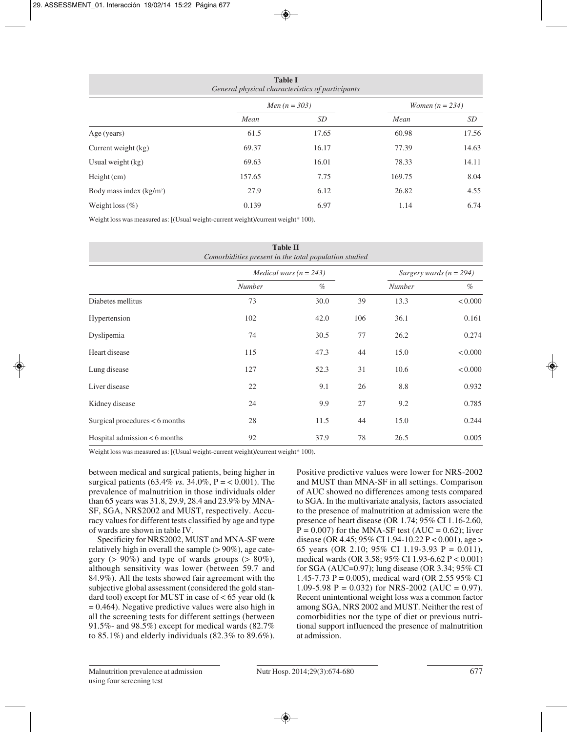| <b>Table I</b><br>General physical characteristics of participants |        |                        |        |                          |  |
|--------------------------------------------------------------------|--------|------------------------|--------|--------------------------|--|
|                                                                    |        | <i>Men</i> $(n = 303)$ |        | <i>Women</i> $(n = 234)$ |  |
|                                                                    | Mean   | SD                     | Mean   | SD <sub>-</sub>          |  |
| Age (years)                                                        | 61.5   | 17.65                  | 60.98  | 17.56                    |  |
| Current weight (kg)                                                | 69.37  | 16.17                  | 77.39  | 14.63                    |  |
| Usual weight $(kg)$                                                | 69.63  | 16.01                  | 78.33  | 14.11                    |  |
| $Height$ (cm)                                                      | 157.65 | 7.75                   | 169.75 | 8.04                     |  |
| Body mass index $(kg/m2)$                                          | 27.9   | 6.12                   | 26.82  | 4.55                     |  |
| Weight loss $(\% )$                                                | 0.139  | 6.97                   | 1.14   | 6.74                     |  |

Weight loss was measured as: [(Usual weight-current weight)/current weight\* 100).

| <b>Table II</b><br>Comorbidities present in the total population studied |                            |      |     |                             |         |
|--------------------------------------------------------------------------|----------------------------|------|-----|-----------------------------|---------|
|                                                                          | Medical wars ( $n = 243$ ) |      |     | Surgery wards ( $n = 294$ ) |         |
|                                                                          | <b>Number</b>              | $\%$ |     | Number                      | $\%$    |
| Diabetes mellitus                                                        | 73                         | 30.0 | 39  | 13.3                        | < 0.000 |
| Hypertension                                                             | 102                        | 42.0 | 106 | 36.1                        | 0.161   |
| Dyslipemia                                                               | 74                         | 30.5 | 77  | 26.2                        | 0.274   |
| Heart disease                                                            | 115                        | 47.3 | 44  | 15.0                        | < 0.000 |
| Lung disease                                                             | 127                        | 52.3 | 31  | 10.6                        | < 0.000 |
| Liver disease                                                            | 22                         | 9.1  | 26  | 8.8                         | 0.932   |
| Kidney disease                                                           | 24                         | 9.9  | 27  | 9.2                         | 0.785   |
| Surgical procedures $< 6$ months                                         | 28                         | 11.5 | 44  | 15.0                        | 0.244   |
| Hospital admission $< 6$ months                                          | 92                         | 37.9 | 78  | 26.5                        | 0.005   |

Weight loss was measured as: [(Usual weight-current weight)/current weight\* 100).

between medical and surgical patients, being higher in surgical patients (63.4% *vs.* 34.0%, P = < 0.001). The prevalence of malnutrition in those individuals older than 65 years was 31.8, 29.9, 28.4 and 23.9% by MNA-SF, SGA, NRS2002 and MUST, respectively. Accuracy values for different tests classified by age and type of wards are shown in table IV.

Specificity for NRS2002, MUST and MNA-SF were relatively high in overall the sample (> 90%), age category ( $> 90\%$ ) and type of wards groups ( $> 80\%$ ), although sensitivity was lower (between 59.7 and 84.9%). All the tests showed fair agreement with the subjective global assessment (considered the gold standard tool) except for MUST in case of  $< 65$  year old (k  $= 0.464$ ). Negative predictive values were also high in all the screening tests for different settings (between 91.5%- and 98.5%) except for medical wards (82.7% to 85.1%) and elderly individuals  $(82.3\%$  to 89.6%). Positive predictive values were lower for NRS-2002 and MUST than MNA-SF in all settings. Comparison of AUC showed no differences among tests compared to SGA. In the multivariate analysis, factors associated to the presence of malnutrition at admission were the presence of heart disease (OR 1.74; 95% CI 1.16-2.60,  $P = 0.007$ ) for the MNA-SF test (AUC = 0.62); liver disease (OR 4.45;  $95\%$  CI 1.94-10.22 P < 0.001), age > 65 years (OR 2.10; 95% CI 1.19-3.93 P = 0.011), medical wards (OR 3.58; 95% CI 1.93-6.62 P < 0.001) for SGA (AUC=0.97); lung disease (OR 3.34; 95% CI 1.45-7.73 P = 0.005), medical ward (OR 2.55 95% CI 1.09-5.98 P = 0.032) for NRS-2002 (AUC = 0.97). Recent unintentional weight loss was a common factor among SGA, NRS 2002 and MUST. Neither the rest of comorbidities nor the type of diet or previous nutritional support influenced the presence of malnutrition at admission.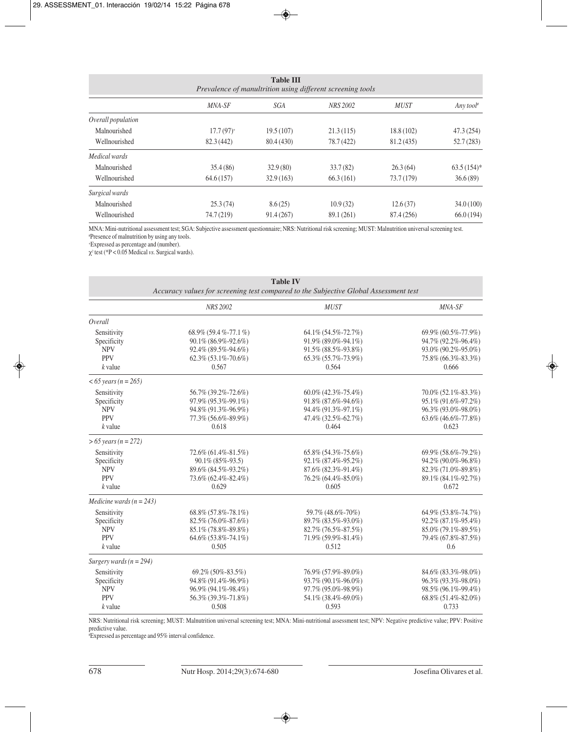| <b>Table III</b><br>Prevalence of manultrition using different screening tools |                         |            |            |             |               |
|--------------------------------------------------------------------------------|-------------------------|------------|------------|-------------|---------------|
|                                                                                | MNA-SF                  | SGA        | NRS 2002   | <b>MUST</b> | Any tool#     |
| Overall population                                                             |                         |            |            |             |               |
| Malnourished                                                                   | $17.7(97)$ <sup>+</sup> | 19.5(107)  | 21.3(115)  | 18.8 (102)  | 47.3 (254)    |
| Wellnourished                                                                  | 82.3 (442)              | 80.4 (430) | 78.7 (422) | 81.2 (435)  | 52.7(283)     |
| Medical wards                                                                  |                         |            |            |             |               |
| Malnourished                                                                   | 35.4(86)                | 32.9(80)   | 33.7(82)   | 26.3(64)    | $63.5(154)$ * |
| Wellnourished                                                                  | 64.6(157)               | 32.9(163)  | 66.3(161)  | 73.7 (179)  | 36.6(89)      |
| Surgical wards                                                                 |                         |            |            |             |               |
| Malnourished                                                                   | 25.3(74)                | 8.6(25)    | 10.9(32)   | 12.6(37)    | 34.0(100)     |
| Wellnourished                                                                  | 74.7 (219)              | 91.4(267)  | 89.1 (261) | 87.4 (256)  | 66.0(194)     |

MNA: Mini-nutritional assessment test; SGA: Subjective assessment questionnaire; NRS: Nutritional risk screening; MUST: Malnutrition universal screening test. # Presence of malnutrition by using any tools.

+ Expressed as percentage and (number).

χ<sup>2</sup> test (\*P < 0.05 Medical *vs.* Surgical wards).

| <b>Table IV</b><br>Accuracy values for screening test compared to the Subjective Global Assessment test |                              |                              |                              |  |
|---------------------------------------------------------------------------------------------------------|------------------------------|------------------------------|------------------------------|--|
|                                                                                                         | <b>NRS 2002</b>              | <b>MUST</b>                  | MNA-SF                       |  |
| Overall                                                                                                 |                              |                              |                              |  |
| Sensitivity                                                                                             | $68.9\%$ $(59.4\% - 77.1\%)$ | 64.1% (54.5%-72.7%)          | 69.9% (60.5%-77.9%)          |  |
| Specificity                                                                                             | 90.1% (86.9%-92.6%)          | 91.9% (89.0%-94.1%)          | 94.7% (92.2%-96.4%)          |  |
| <b>NPV</b>                                                                                              | 92.4% (89.5%-94.6%)          | 91.5% (88.5%-93.8%)          | 93.0% (90.2%-95.0%)          |  |
| <b>PPV</b>                                                                                              | 62.3% (53.1%-70.6%)          | 65.3% (55.7%-73.9%)          | 75.8% (66.3%-83.3%)          |  |
| $k$ value                                                                                               | 0.567                        | 0.564                        | 0.666                        |  |
| $< 65$ years (n = 265)                                                                                  |                              |                              |                              |  |
| Sensitivity                                                                                             | 56.7% (39.2%-72.6%)          | $60.0\%$ (42.3%-75.4%)       | 70.0% (52.1%-83.3%)          |  |
| Specificity                                                                                             | 97.9% (95.3%-99.1%)          | 91.8% (87.6%-94.6%)          | 95.1% (91.6%-97.2%)          |  |
| <b>NPV</b>                                                                                              | 94.8% (91.3%-96.9%)          | 94.4% (91.3%-97.1%)          | 96.3% (93.0%-98.0%)          |  |
| <b>PPV</b>                                                                                              | 77.3% (56.6%-89.9%)          | 47.4% (32.5%-62.7%)          | $63.6\%$ $(46.6\% - 77.8\%)$ |  |
| $k$ value                                                                                               | 0.618                        | 0.464                        | 0.623                        |  |
| $> 65 \text{ years} (n = 272)$                                                                          |                              |                              |                              |  |
| Sensitivity                                                                                             | 72.6% (61.4%-81.5%)          | $65.8\%$ $(54.3\% - 75.6\%)$ | 69.9% (58.6%-79.2%)          |  |
| Specificity                                                                                             | 90.1% (85%-93.5)             | 92.1% (87.4%-95.2%)          | 94.2% (90.0%-96.8%)          |  |
| <b>NPV</b>                                                                                              | 89.6% (84.5%-93.2%)          | 87.6% (82.3%-91.4%)          | 82.3% (71.0%-89.8%)          |  |
| <b>PPV</b>                                                                                              | 73.6% (62.4%-82.4%)          | 76.2% (64.4%-85.0%)          | 89.1% (84.1%-92.7%)          |  |
| $k$ value                                                                                               | 0.629                        | 0.605                        | 0.672                        |  |
| Medicine wards ( $n = 243$ )                                                                            |                              |                              |                              |  |
| Sensitivity                                                                                             | 68.8% (57.8%-78.1%)          | 59.7% (48.6%-70%)            | 64.9% (53.8%-74.7%)          |  |
| Specificity                                                                                             | 82.5% (76.0%-87.6%)          | 89.7% (83.5%-93.0%)          | 92.2% (87.1%-95.4%)          |  |
| <b>NPV</b>                                                                                              | 85.1% (78.8%-89.8%)          | 82.7% (76.5%-87.5%)          | 85.0% (79.1%-89.5%)          |  |
| <b>PPV</b>                                                                                              | 64.6% (53.8%-74.1%)          | 71.9% (59.9%-81.4%)          | 79.4% (67.8%-87.5%)          |  |
| $k$ value                                                                                               | 0.505                        | 0.512                        | 0.6                          |  |
| Surgery wards ( $n = 294$ )                                                                             |                              |                              |                              |  |
| Sensitivity                                                                                             | 69.2% (50%-83.5%)            | 76.9% (57.9%-89.0%)          | 84.6% (83.3%-98.0%)          |  |
| Specificity                                                                                             | 94.8% (91.4%-96.9%)          | 93.7% (90.1%-96.0%)          | 96.3% (93.3%-98.0%)          |  |
| <b>NPV</b>                                                                                              | 96.9% (94.1%-98.4%)          | 97.7% (95.0%-98.9%)          | 98.5% (96.1%-99.4%)          |  |
| <b>PPV</b>                                                                                              | 56.3% (39.3%-71.8%)          | 54.1% (38.4%-69.0%)          | 68.8% (51.4%-82.0%)          |  |
| $k$ value                                                                                               | 0.508                        | 0.593                        | 0.733                        |  |

NRS: Nutritional risk screening; MUST: Malnutrition universal screening test; MNA: Mini-nutritional assessment test; NPV: Negative predictive value; PPV: Positive predictive value.

# Expressed as percentage and 95% interval confidence.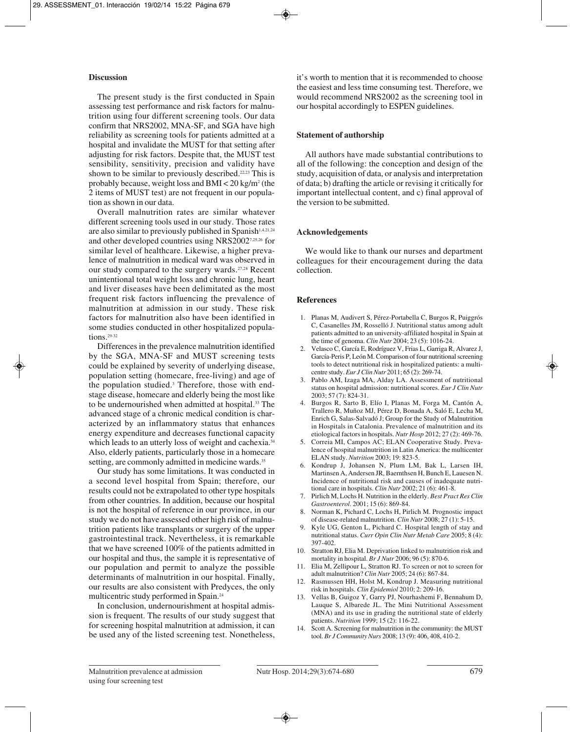## **Discussion**

The present study is the first conducted in Spain assessing test performance and risk factors for malnutrition using four different screening tools. Our data confirm that NRS2002, MNA-SF, and SGA have high reliability as screening tools for patients admitted at a hospital and invalidate the MUST for that setting after adjusting for risk factors. Despite that, the MUST test sensibility, sensitivity, precision and validity have shown to be similar to previously described.<sup>22,23</sup> This is probably because, weight loss and BMI  $<$  20 kg/m<sup>2</sup> (the 2 items of MUST test) are not frequent in our population as shown in our data.

Overall malnutrition rates are similar whatever different screening tools used in our study. Those rates are also similar to previously published in Spanish<sup>1,4,21,24</sup> and other developed countries using NRS20027,25,26 for similar level of healthcare. Likewise, a higher prevalence of malnutrition in medical ward was observed in our study compared to the surgery wards.27,28 Recent unintentional total weight loss and chronic lung, heart and liver diseases have been delimitated as the most frequent risk factors influencing the prevalence of malnutrition at admission in our study. These risk factors for malnutrition also have been identified in some studies conducted in other hospitalized populations.<sup>29-32</sup>

Differences in the prevalence malnutrition identified by the SGA, MNA-SF and MUST screening tests could be explained by severity of underlying disease, population setting (homecare, free-living) and age of the population studied.3 Therefore, those with endstage disease, homecare and elderly being the most like to be undernourished when admitted at hospital.<sup>33</sup> The advanced stage of a chronic medical condition is characterized by an inflammatory status that enhances energy expenditure and decreases functional capacity which leads to an utterly loss of weight and cachexia.<sup>34</sup> Also, elderly patients, particularly those in a homecare setting, are commonly admitted in medicine wards.<sup>35</sup>

Our study has some limitations. It was conducted in a second level hospital from Spain; therefore, our results could not be extrapolated to other type hospitals from other countries. In addition, because our hospital is not the hospital of reference in our province, in our study we do not have assessed other high risk of malnutrition patients like transplants or surgery of the upper gastrointestinal track. Nevertheless, it is remarkable that we have screened 100% of the patients admitted in our hospital and thus, the sample it is representative of our population and permit to analyze the possible determinants of malnutrition in our hospital. Finally, our results are also consistent with Predyces, the only multicentric study performed in Spain.24

In conclusion, undernourishment at hospital admission is frequent. The results of our study suggest that for screening hospital malnutrition at admission, it can be used any of the listed screening test. Nonetheless,

it's worth to mention that it is recommended to choose the easiest and less time consuming test. Therefore, we would recommend NRS2002 as the screening tool in our hospital accordingly to ESPEN guidelines.

## **Statement of authorship**

All authors have made substantial contributions to all of the following: the conception and design of the study, acquisition of data, or analysis and interpretation of data; b) drafting the article or revising it critically for important intellectual content, and c) final approval of the version to be submitted.

### **Acknowledgements**

We would like to thank our nurses and department colleagues for their encouragement during the data collection.

## **References**

- 1. Planas M, Audivert S, Pérez-Portabella C, Burgos R, Puiggrós C, Casanelles JM, Rosselló J. Nutritional status among adult patients admitted to an university-affiliated hospital in Spain at the time of genoma. *Clin Nutr* 2004; 23 (5): 1016-24.
- 2. Velasco C, García E, Rodríguez V, Frias L, Garriga R, Alvarez J, García-Peris P, León M. Comparison of four nutritional screening tools to detect nutritional risk in hospitalized patients: a multicentre study. *Eur J Clin Nutr* 2011; 65 (2): 269-74.
- 3. Pablo AM, Izaga MA, Alday LA. Assessment of nutritional status on hospital admission: nutritional scores. *Eur J Clin Nutr* 2003; 57 (7): 824-31.
- 4. Burgos R, Sarto B, Elío I, Planas M, Forga M, Cantón A, Trallero R, Muñoz MJ, Pérez D, Bonada A, Saló E, Lecha M, Enrich G, Salas-Salvadó J; Group for the Study of Malnutrition in Hospitals in Catalonia. Prevalence of malnutrition and its etiological factors in hospitals. *Nutr Hosp* 2012; 27 (2): 469-76.
- 5. Correia MI, Campos AC; ELAN Cooperative Study. Prevalence of hospital malnutrition in Latin America: the multicenter ELAN study. *Nutrition* 2003; 19: 823-5.
- 6. Kondrup J, Johansen N, Plum LM, Bak L, Larsen IH, Martinsen A, Andersen JR, Baernthsen H, Bunch E, Lauesen N. Incidence of nutritional risk and causes of inadequate nutritional care in hospitals. *Clin Nutr* 2002; 21 (6): 461-8.
- 7. Pirlich M, Lochs H. Nutrition in the elderly. *Best Pract Res Clin Gastroenterol*. 2001; 15 (6): 869-84.
- 8. Norman K, Pichard C, Lochs H, Pirlich M. Prognostic impact of disease-related malnutrition. *Clin Nutr* 2008; 27 (1): 5-15.
- 9. Kyle UG, Genton L, Pichard C. Hospital length of stay and nutritional status. *Curr Opin Clin Nutr Metab Care* 2005; 8 (4): 397-402.
- 10. Stratton RJ, Elia M. Deprivation linked to malnutrition risk and mortality in hospital. *Br J Nutr* 2006; 96 (5): 870-6.
- 11. Elia M, Zellipour L, Stratton RJ. To screen or not to screen for adult malnutrition? *Clin Nutr* 2005; 24 (6): 867-84.
- 12. Rasmussen HH, Holst M, Kondrup J. Measuring nutritional risk in hospitals. *Clin Epidemiol* 2010; 2: 209-16.
- 13. Vellas B, Guigoz Y, Garry PJ, Nourhashemi F, Bennahum D, Lauque S, Albarede JL. The Mini Nutritional Assessment (MNA) and its use in grading the nutritional state of elderly patients. *Nutrition* 1999; 15 (2): 116-22.
- 14. Scott A. Screening for malnutrition in the community: the MUST tool. *Br J Community Nurs* 2008; 13 (9): 406, 408, 410-2.